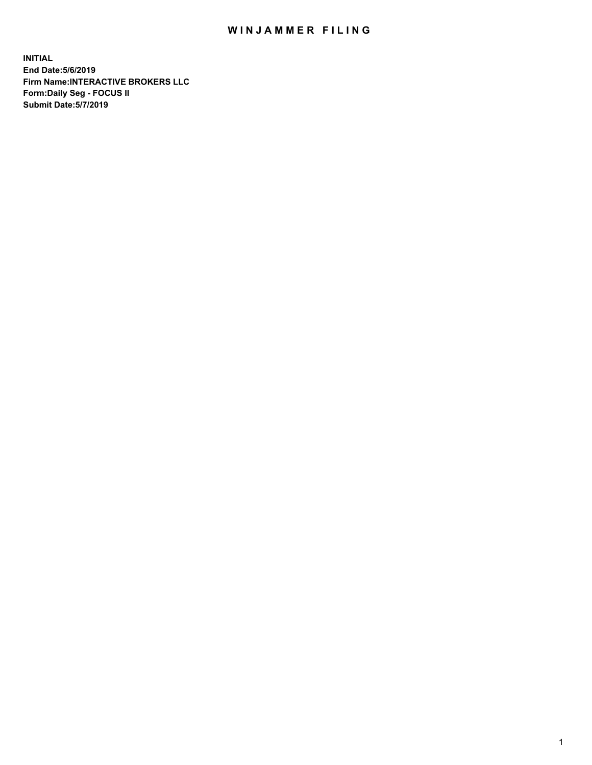## WIN JAMMER FILING

**INITIAL End Date:5/6/2019 Firm Name:INTERACTIVE BROKERS LLC Form:Daily Seg - FOCUS II Submit Date:5/7/2019**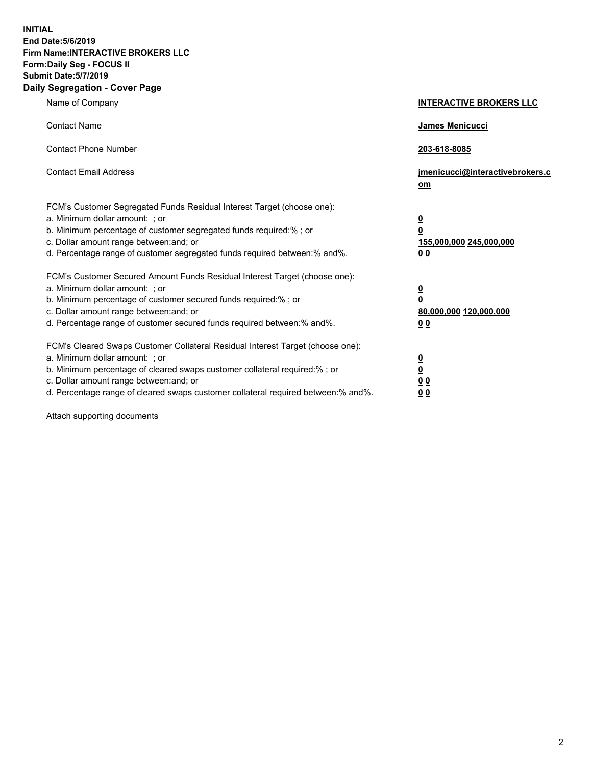**INITIAL End Date:5/6/2019 Firm Name:INTERACTIVE BROKERS LLC Form:Daily Seg - FOCUS II Submit Date:5/7/2019 Daily Segregation - Cover Page**

| Name of Company                                                                                                                                                                                                                                                                                                                | <b>INTERACTIVE BROKERS LLC</b>                                                                  |
|--------------------------------------------------------------------------------------------------------------------------------------------------------------------------------------------------------------------------------------------------------------------------------------------------------------------------------|-------------------------------------------------------------------------------------------------|
| <b>Contact Name</b>                                                                                                                                                                                                                                                                                                            | <b>James Menicucci</b>                                                                          |
| <b>Contact Phone Number</b>                                                                                                                                                                                                                                                                                                    | 203-618-8085                                                                                    |
| <b>Contact Email Address</b>                                                                                                                                                                                                                                                                                                   | jmenicucci@interactivebrokers.c<br>om                                                           |
| FCM's Customer Segregated Funds Residual Interest Target (choose one):<br>a. Minimum dollar amount: ; or<br>b. Minimum percentage of customer segregated funds required:% ; or<br>c. Dollar amount range between: and; or<br>d. Percentage range of customer segregated funds required between:% and%.                         | $\overline{\mathbf{0}}$<br>$\overline{\mathbf{0}}$<br>155,000,000 245,000,000<br>0 <sub>0</sub> |
| FCM's Customer Secured Amount Funds Residual Interest Target (choose one):<br>a. Minimum dollar amount: ; or<br>b. Minimum percentage of customer secured funds required:%; or<br>c. Dollar amount range between: and; or<br>d. Percentage range of customer secured funds required between:% and%.                            | $\overline{\mathbf{0}}$<br>$\mathbf 0$<br>80,000,000 120,000,000<br>0 <sub>0</sub>              |
| FCM's Cleared Swaps Customer Collateral Residual Interest Target (choose one):<br>a. Minimum dollar amount: ; or<br>b. Minimum percentage of cleared swaps customer collateral required:% ; or<br>c. Dollar amount range between: and; or<br>d. Percentage range of cleared swaps customer collateral required between:% and%. | $\overline{\mathbf{0}}$<br>$\underline{\mathbf{0}}$<br>0 <sub>0</sub><br>00                     |

Attach supporting documents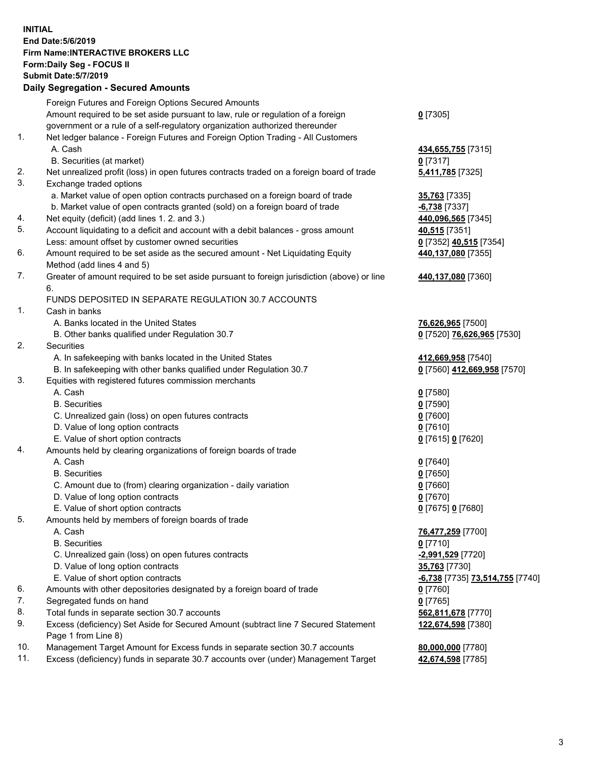## **INITIAL End Date:5/6/2019 Firm Name:INTERACTIVE BROKERS LLC Form:Daily Seg - FOCUS II Submit Date:5/7/2019 Daily Segregation - Secured Amounts**

|     | Foreign Futures and Foreign Options Secured Amounts                                                        |                                 |
|-----|------------------------------------------------------------------------------------------------------------|---------------------------------|
|     | Amount required to be set aside pursuant to law, rule or regulation of a foreign                           | $0$ [7305]                      |
|     | government or a rule of a self-regulatory organization authorized thereunder                               |                                 |
| 1.  | Net ledger balance - Foreign Futures and Foreign Option Trading - All Customers                            |                                 |
|     | A. Cash                                                                                                    | 434,655,755 [7315]              |
|     | B. Securities (at market)                                                                                  | $0$ [7317]                      |
| 2.  | Net unrealized profit (loss) in open futures contracts traded on a foreign board of trade                  | 5,411,785 [7325]                |
| 3.  | Exchange traded options                                                                                    |                                 |
|     | a. Market value of open option contracts purchased on a foreign board of trade                             | 35,763 [7335]                   |
|     | b. Market value of open contracts granted (sold) on a foreign board of trade                               | $-6,738$ [7337]                 |
| 4.  | Net equity (deficit) (add lines 1.2. and 3.)                                                               | 440,096,565 [7345]              |
| 5.  | Account liquidating to a deficit and account with a debit balances - gross amount                          | 40,515 [7351]                   |
|     | Less: amount offset by customer owned securities                                                           | 0 [7352] 40,515 [7354]          |
| 6.  | Amount required to be set aside as the secured amount - Net Liquidating Equity                             | 440,137,080 [7355]              |
|     | Method (add lines 4 and 5)                                                                                 |                                 |
| 7.  | Greater of amount required to be set aside pursuant to foreign jurisdiction (above) or line                | 440,137,080 [7360]              |
|     | 6.                                                                                                         |                                 |
|     | FUNDS DEPOSITED IN SEPARATE REGULATION 30.7 ACCOUNTS                                                       |                                 |
| 1.  | Cash in banks                                                                                              |                                 |
|     | A. Banks located in the United States                                                                      | 76,626,965 [7500]               |
|     | B. Other banks qualified under Regulation 30.7                                                             | 0 [7520] 76,626,965 [7530]      |
| 2.  | Securities                                                                                                 |                                 |
|     | A. In safekeeping with banks located in the United States                                                  | 412,669,958 [7540]              |
|     | B. In safekeeping with other banks qualified under Regulation 30.7                                         | 0 [7560] 412,669,958 [7570]     |
| 3.  | Equities with registered futures commission merchants                                                      |                                 |
|     | A. Cash                                                                                                    | $0$ [7580]                      |
|     | <b>B.</b> Securities                                                                                       | $0$ [7590]                      |
|     | C. Unrealized gain (loss) on open futures contracts                                                        | $0$ [7600]                      |
|     | D. Value of long option contracts                                                                          | $0$ [7610]                      |
|     | E. Value of short option contracts                                                                         | 0 [7615] 0 [7620]               |
| 4.  | Amounts held by clearing organizations of foreign boards of trade                                          |                                 |
|     | A. Cash                                                                                                    | $0$ [7640]                      |
|     | <b>B.</b> Securities                                                                                       | $0$ [7650]                      |
|     | C. Amount due to (from) clearing organization - daily variation                                            | $0$ [7660]                      |
|     | D. Value of long option contracts                                                                          | $0$ [7670]                      |
|     | E. Value of short option contracts                                                                         | 0 [7675] 0 [7680]               |
| 5.  | Amounts held by members of foreign boards of trade                                                         |                                 |
|     | A. Cash                                                                                                    | 76,477,259 [7700]               |
|     | <b>B.</b> Securities                                                                                       | $0$ [7710]                      |
|     | C. Unrealized gain (loss) on open futures contracts                                                        | -2,991,529 [7720]               |
|     | D. Value of long option contracts                                                                          | 35,763 [7730]                   |
|     | E. Value of short option contracts                                                                         | -6,738 [7735] 73,514,755 [7740] |
| 6.  | Amounts with other depositories designated by a foreign board of trade                                     | $0$ [7760]                      |
| 7.  | Segregated funds on hand                                                                                   | $0$ [7765]                      |
| 8.  | Total funds in separate section 30.7 accounts                                                              | 562,811,678 [7770]              |
| 9.  | Excess (deficiency) Set Aside for Secured Amount (subtract line 7 Secured Statement<br>Page 1 from Line 8) | 122,674,598 [7380]              |
| 10. | Management Target Amount for Excess funds in separate section 30.7 accounts                                | 80,000,000 [7780]               |
| 11. | Excess (deficiency) funds in separate 30.7 accounts over (under) Management Target                         | 42,674,598 [7785]               |
|     |                                                                                                            |                                 |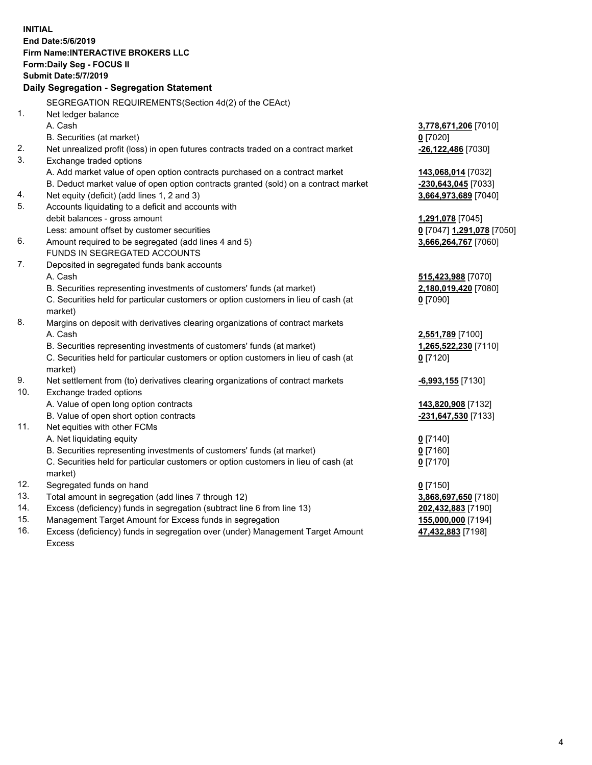|     | <b>INITIAL</b>                                                                      |                           |
|-----|-------------------------------------------------------------------------------------|---------------------------|
|     | End Date: 5/6/2019                                                                  |                           |
|     | <b>Firm Name: INTERACTIVE BROKERS LLC</b>                                           |                           |
|     | Form: Daily Seg - FOCUS II                                                          |                           |
|     | <b>Submit Date: 5/7/2019</b>                                                        |                           |
|     | Daily Segregation - Segregation Statement                                           |                           |
|     | SEGREGATION REQUIREMENTS(Section 4d(2) of the CEAct)                                |                           |
| 1.  | Net ledger balance                                                                  |                           |
|     | A. Cash                                                                             | 3,778,671,206 [7010]      |
|     | B. Securities (at market)                                                           | $0$ [7020]                |
| 2.  | Net unrealized profit (loss) in open futures contracts traded on a contract market  | -26,122,486 [7030]        |
| 3.  | Exchange traded options                                                             |                           |
|     | A. Add market value of open option contracts purchased on a contract market         | 143,068,014 [7032]        |
|     | B. Deduct market value of open option contracts granted (sold) on a contract market | -230,643,045 [7033]       |
| 4.  | Net equity (deficit) (add lines 1, 2 and 3)                                         | 3,664,973,689 [7040]      |
| 5.  | Accounts liquidating to a deficit and accounts with                                 |                           |
|     | debit balances - gross amount                                                       | 1,291,078 [7045]          |
|     | Less: amount offset by customer securities                                          | 0 [7047] 1,291,078 [7050] |
| 6.  | Amount required to be segregated (add lines 4 and 5)                                | 3,666,264,767 [7060]      |
|     | FUNDS IN SEGREGATED ACCOUNTS                                                        |                           |
| 7.  | Deposited in segregated funds bank accounts                                         |                           |
|     | A. Cash                                                                             | 515,423,988 [7070]        |
|     | B. Securities representing investments of customers' funds (at market)              | 2,180,019,420 [7080]      |
|     | C. Securities held for particular customers or option customers in lieu of cash (at | $0$ [7090]                |
|     | market)                                                                             |                           |
| 8.  | Margins on deposit with derivatives clearing organizations of contract markets      |                           |
|     | A. Cash                                                                             | 2,551,789 [7100]          |
|     | B. Securities representing investments of customers' funds (at market)              | 1,265,522,230 [7110]      |
|     | C. Securities held for particular customers or option customers in lieu of cash (at | $0$ [7120]                |
|     | market)                                                                             |                           |
| 9.  | Net settlement from (to) derivatives clearing organizations of contract markets     | <u>-6,993,155</u> [7130]  |
| 10. | Exchange traded options                                                             |                           |
|     | A. Value of open long option contracts                                              | 143,820,908 [7132]        |
|     | B. Value of open short option contracts                                             | -231,647,530 [7133]       |
| 11. | Net equities with other FCMs                                                        |                           |
|     | A. Net liquidating equity                                                           | $0$ [7140]                |
|     | B. Securities representing investments of customers' funds (at market)              | 0 [7160]                  |
|     | C. Securities held for particular customers or option customers in lieu of cash (at | $0$ [7170]                |
|     | market)                                                                             |                           |
| 12. | Segregated funds on hand                                                            | $0$ [7150]                |
| 13. | Total amount in segregation (add lines 7 through 12)                                | 3,868,697,650 [7180]      |
| 14. | Excess (deficiency) funds in segregation (subtract line 6 from line 13)             | 202,432,883 [7190]        |
| 15. | Management Target Amount for Excess funds in segregation                            | 155,000,000 [7194]        |

16. Excess (deficiency) funds in segregation over (under) Management Target Amount Excess

**47,432,883** [7198]